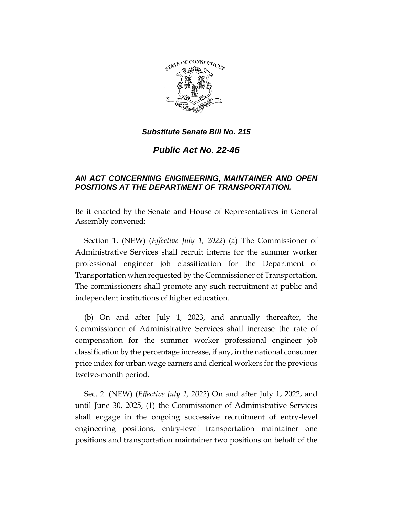

*Substitute Senate Bill No. 215*

*Public Act No. 22-46*

## *AN ACT CONCERNING ENGINEERING, MAINTAINER AND OPEN POSITIONS AT THE DEPARTMENT OF TRANSPORTATION.*

Be it enacted by the Senate and House of Representatives in General Assembly convened:

Section 1. (NEW) (*Effective July 1, 2022*) (a) The Commissioner of Administrative Services shall recruit interns for the summer worker professional engineer job classification for the Department of Transportation when requested by the Commissioner of Transportation. The commissioners shall promote any such recruitment at public and independent institutions of higher education.

(b) On and after July 1, 2023, and annually thereafter, the Commissioner of Administrative Services shall increase the rate of compensation for the summer worker professional engineer job classification by the percentage increase, if any, in the national consumer price index for urban wage earners and clerical workers for the previous twelve-month period.

Sec. 2. (NEW) (*Effective July 1, 2022*) On and after July 1, 2022, and until June 30, 2025, (1) the Commissioner of Administrative Services shall engage in the ongoing successive recruitment of entry-level engineering positions, entry-level transportation maintainer one positions and transportation maintainer two positions on behalf of the